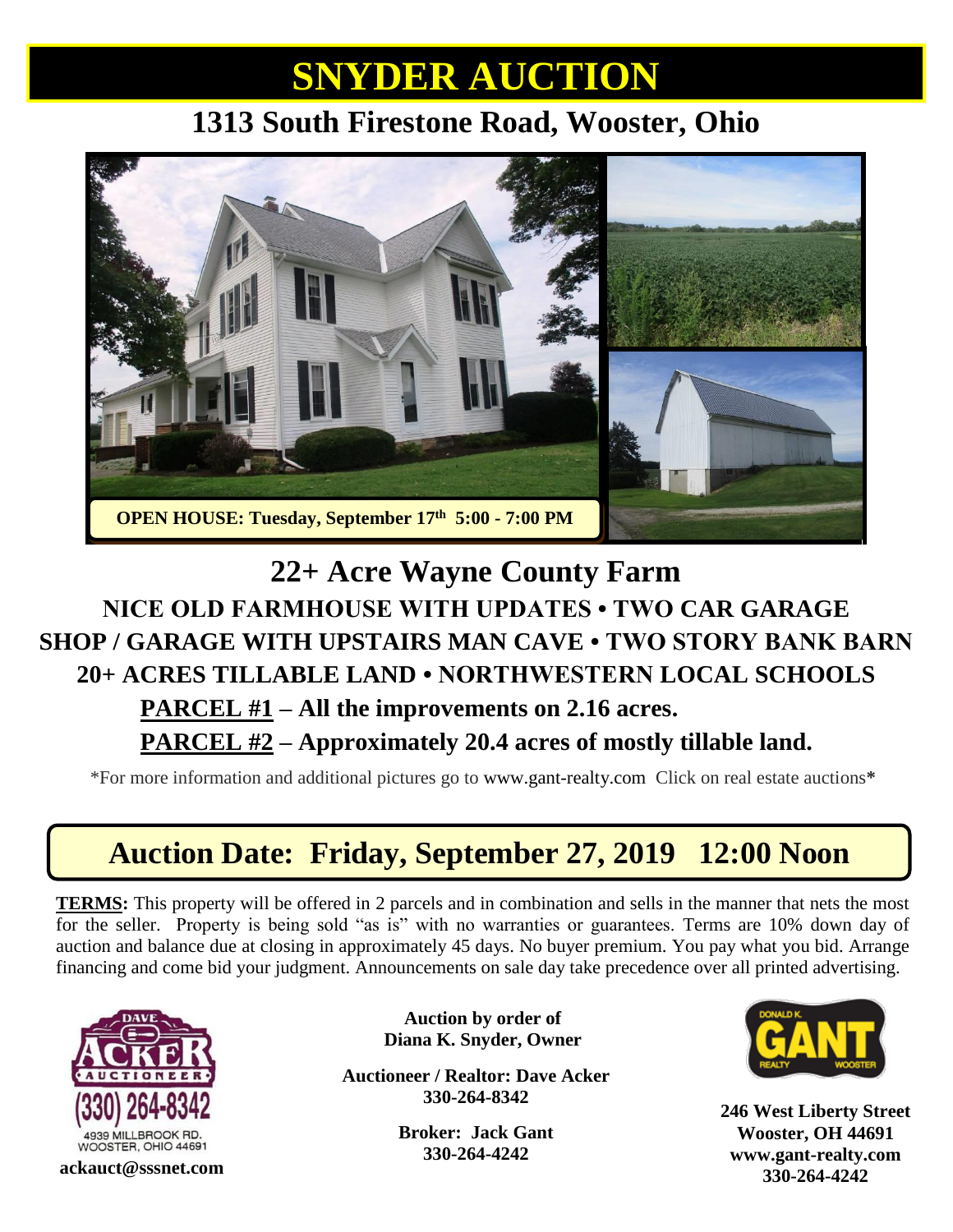## **SNYDER AUCTION**

#### **1313 South Firestone Road, Wooster, Ohio**



#### **22+ Acre Wayne County Farm NICE OLD FARMHOUSE WITH UPDATES • TWO CAR GARAGE SHOP / GARAGE WITH UPSTAIRS MAN CAVE • TWO STORY BANK BARN 20+ ACRES TILLABLE LAND • NORTHWESTERN LOCAL SCHOOLS PARCEL #1 – All the improvements on 2.16 acres.**

**PARCEL #2 – Approximately 20.4 acres of mostly tillable land.**

\*For more information and additional pictures go to [www.gant-realty.com](http://www.gant-realty.com/) Click on real estate auctions**\***

#### **Auction Date: Friday, September 27, 2019 12:00 Noon**

**TERMS:** This property will be offered in 2 parcels and in combination and sells in the manner that nets the most for the seller. Property is being sold "as is" with no warranties or guarantees. Terms are 10% down day of auction and balance due at closing in approximately 45 days. No buyer premium. You pay what you bid. Arrange financing and come bid your judgment. Announcements on sale day take precedence over all printed advertising.



**Auction by order of Diana K. Snyder, Owner**

**Auctioneer / Realtor: Dave Acker 330-264-8342**

> **Broker: Jack Gant 330-264-4242**



**246 West Liberty Street Wooster, OH 44691 [www.gant-realty.com](http://www.gant-realty.com/) 330-264-4242 ackauct@sssnet.com**